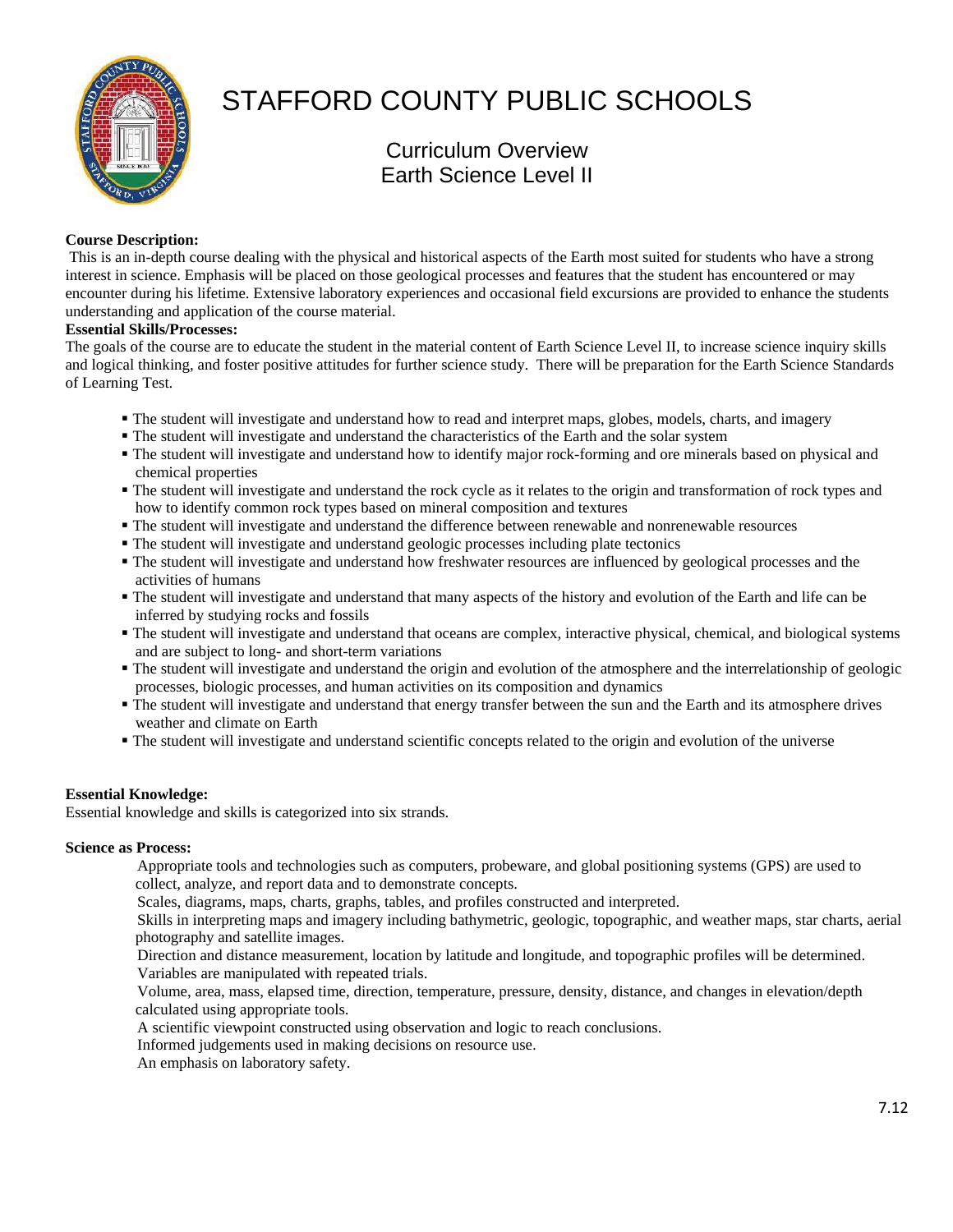

# STAFFORD COUNTY PUBLIC SCHOOLS

Curriculum Overview Earth Science Level II

# **Course Description:**

 This is an in-depth course dealing with the physical and historical aspects of the Earth most suited for students who have a strong interest in science. Emphasis will be placed on those geological processes and features that the student has encountered or may encounter during his lifetime. Extensive laboratory experiences and occasional field excursions are provided to enhance the students understanding and application of the course material.

## **Essential Skills/Processes:**

The goals of the course are to educate the student in the material content of Earth Science Level II, to increase science inquiry skills and logical thinking, and foster positive attitudes for further science study. There will be preparation for the Earth Science Standards of Learning Test.

- The student will investigate and understand how to read and interpret maps, globes, models, charts, and imagery
- The student will investigate and understand the characteristics of the Earth and the solar system
- The student will investigate and understand how to identify major rock-forming and ore minerals based on physical and chemical properties
- The student will investigate and understand the rock cycle as it relates to the origin and transformation of rock types and how to identify common rock types based on mineral composition and textures
- The student will investigate and understand the difference between renewable and nonrenewable resources
- The student will investigate and understand geologic processes including plate tectonics
- The student will investigate and understand how freshwater resources are influenced by geological processes and the activities of humans
- The student will investigate and understand that many aspects of the history and evolution of the Earth and life can be inferred by studying rocks and fossils
- The student will investigate and understand that oceans are complex, interactive physical, chemical, and biological systems and are subject to long- and short-term variations
- The student will investigate and understand the origin and evolution of the atmosphere and the interrelationship of geologic processes, biologic processes, and human activities on its composition and dynamics
- The student will investigate and understand that energy transfer between the sun and the Earth and its atmosphere drives weather and climate on Earth
- The student will investigate and understand scientific concepts related to the origin and evolution of the universe

## **Essential Knowledge:**

Essential knowledge and skills is categorized into six strands.

## **Science as Process:**

 Appropriate tools and technologies such as computers, probeware, and global positioning systems (GPS) are used to collect, analyze, and report data and to demonstrate concepts.

Scales, diagrams, maps, charts, graphs, tables, and profiles constructed and interpreted.

 Skills in interpreting maps and imagery including bathymetric, geologic, topographic, and weather maps, star charts, aerial photography and satellite images.

 Direction and distance measurement, location by latitude and longitude, and topographic profiles will be determined. Variables are manipulated with repeated trials.

 Volume, area, mass, elapsed time, direction, temperature, pressure, density, distance, and changes in elevation/depth calculated using appropriate tools.

A scientific viewpoint constructed using observation and logic to reach conclusions.

Informed judgements used in making decisions on resource use.

An emphasis on laboratory safety.